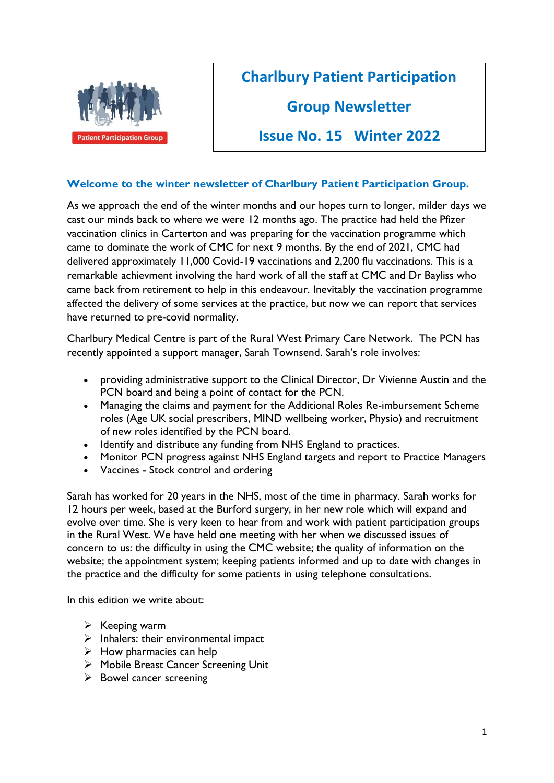

# **Charlbury Patient Participation**

# **Group Newsletter**

# **Issue No. 15 Winter 2022**

## **Welcome to the winter newsletter of Charlbury Patient Participation Group.**

As we approach the end of the winter months and our hopes turn to longer, milder days we cast our minds back to where we were 12 months ago. The practice had held the Pfizer vaccination clinics in Carterton and was preparing for the vaccination programme which came to dominate the work of CMC for next 9 months. By the end of 2021, CMC had delivered approximately 11,000 Covid-19 vaccinations and 2,200 flu vaccinations. This is a remarkable achievment involving the hard work of all the staff at CMC and Dr Bayliss who came back from retirement to help in this endeavour. Inevitably the vaccination programme affected the delivery of some services at the practice, but now we can report that services have returned to pre-covid normality.

Charlbury Medical Centre is part of the Rural West Primary Care Network. The PCN has recently appointed a support manager, Sarah Townsend. Sarah's role involves:

- providing administrative support to the Clinical Director, Dr Vivienne Austin and the PCN board and being a point of contact for the PCN.
- Managing the claims and payment for the Additional Roles Re-imbursement Scheme roles (Age UK social prescribers, MIND wellbeing worker, Physio) and recruitment of new roles identified by the PCN board.
- Identify and distribute any funding from NHS England to practices.
- Monitor PCN progress against NHS England targets and report to Practice Managers
- Vaccines Stock control and ordering

Sarah has worked for 20 years in the NHS, most of the time in pharmacy. Sarah works for 12 hours per week, based at the Burford surgery, in her new role which will expand and evolve over time. She is very keen to hear from and work with patient participation groups in the Rural West. We have held one meeting with her when we discussed issues of concern to us: the difficulty in using the CMC website; the quality of information on the website; the appointment system; keeping patients informed and up to date with changes in the practice and the difficulty for some patients in using telephone consultations.

In this edition we write about:

- $\triangleright$  Keeping warm
- $\triangleright$  Inhalers: their environmental impact
- $\triangleright$  How pharmacies can help
- ➢ Mobile Breast Cancer Screening Unit
- $\triangleright$  Bowel cancer screening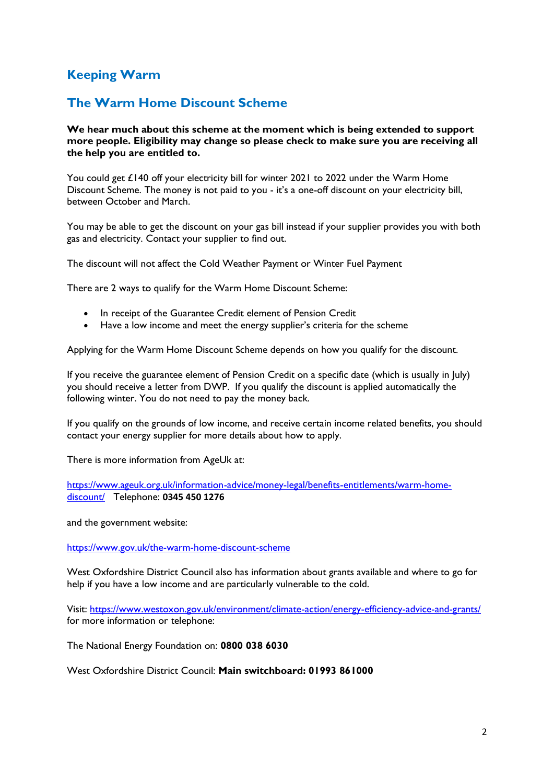# **Keeping Warm**

# **The Warm Home Discount Scheme**

**We hear much about this scheme at the moment which is being extended to support more people. Eligibility may change so please check to make sure you are receiving all the help you are entitled to.** 

You could get £140 off your electricity bill for winter 2021 to 2022 under the Warm Home Discount Scheme. The money is not paid to you - it's a one-off discount on your electricity bill, between October and March.

You may be able to get the discount on your gas bill instead if your supplier provides you with both gas and electricity. Contact your supplier to find out.

The discount will not affect the [Cold Weather Payment](https://www.gov.uk/cold-weather-payment) or [Winter Fuel Payment](https://www.gov.uk/winter-fuel-payment)

There are 2 ways to qualify for the Warm Home Discount Scheme:

- In receipt of the [Guarantee Credit element of Pension Credit](https://www.gov.uk/the-warm-home-discount-scheme/guarantee-pension-credit)
- Have [a low income](https://www.gov.uk/the-warm-home-discount-scheme/low-income) and meet the energy supplier's criteria for the scheme

Applying for the Warm Home Discount Scheme depends on how you qualify for the discount.

If you receive the guarantee element of Pension Credit on a specific date (which is usually in July) you should receive a letter from DWP. If you qualify the discount is applied automatically the following winter. You do not need to pay the money back.

If you qualify on the grounds of low income, and receive certain income related benefits, you should contact your energy supplier for more details about how to apply.

There is more information from AgeUk at:

[https://www.ageuk.org.uk/information-advice/money-legal/benefits-entitlements/warm-home](https://www.ageuk.org.uk/information-advice/money-legal/benefits-entitlements/warm-home-discount/)[discount/](https://www.ageuk.org.uk/information-advice/money-legal/benefits-entitlements/warm-home-discount/) Telephone: **0345 450 1276**

and the government website:

<https://www.gov.uk/the-warm-home-discount-scheme>

West Oxfordshire District Council also has information about grants available and where to go for help if you have a low income and are particularly vulnerable to the cold.

Visit:<https://www.westoxon.gov.uk/environment/climate-action/energy-efficiency-advice-and-grants/> for more information or telephone:

The National Energy Foundation on: **0800 038 6030**

West Oxfordshire District Council: **Main switchboard: 01993 861000**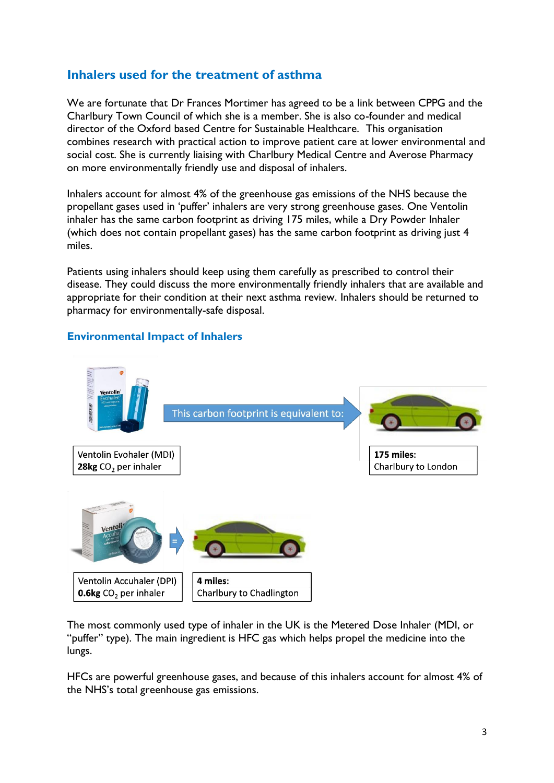# **Inhalers used for the treatment of asthma**

We are fortunate that Dr Frances Mortimer has agreed to be a link between CPPG and the Charlbury Town Council of which she is a member. She is also co-founder and medical director of the Oxford based Centre for Sustainable Healthcare. This organisation combines research with practical action to improve patient care at lower environmental and social cost. She is currently liaising with Charlbury Medical Centre and Averose Pharmacy on more environmentally friendly use and disposal of inhalers.

Inhalers account for almost 4% of the greenhouse gas emissions of the NHS because the propellant gases used in 'puffer' inhalers are very strong greenhouse gases. One Ventolin inhaler has the same carbon footprint as driving 175 miles, while a Dry Powder Inhaler (which does not contain propellant gases) has the same carbon footprint as driving just 4 miles.

Patients using inhalers should keep using them carefully as prescribed to control their disease. They could discuss the more environmentally friendly inhalers that are available and appropriate for their condition at their next asthma review. Inhalers should be returned to pharmacy for environmentally-safe disposal.

## **Environmental Impact of Inhalers**



The most commonly used type of inhaler in the UK is the Metered Dose Inhaler (MDI, or "puffer" type). The main ingredient is HFC gas which helps propel the medicine into the lungs.

HFCs are powerful greenhouse gases, and because of this inhalers account for almost 4% of the NHS's total greenhouse gas emissions.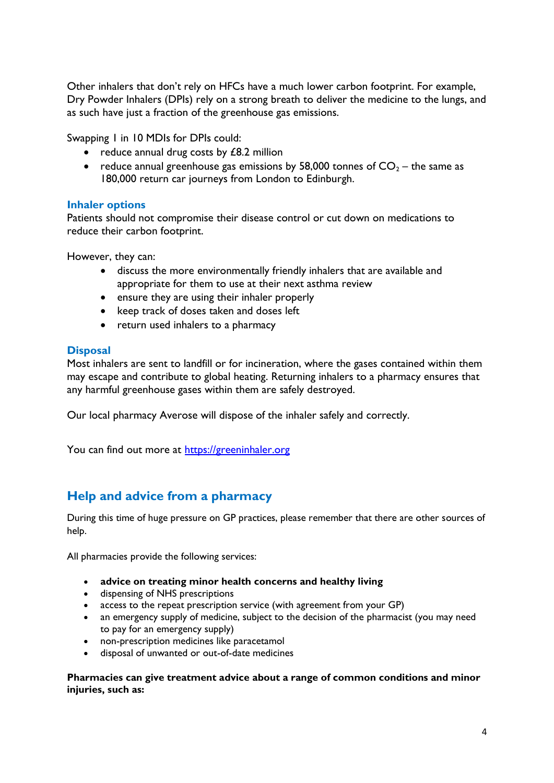Other inhalers that don't rely on HFCs have a much lower carbon footprint. For example, Dry Powder Inhalers (DPIs) rely on a strong breath to deliver the medicine to the lungs, and as such have just a fraction of the greenhouse gas emissions.

Swapping 1 in 10 MDIs for DPIs could:

- reduce annual drug costs by £8.2 million
- reduce annual greenhouse gas emissions by 58,000 tonnes of  $CO<sub>2</sub>$  the same as 180,000 return car journeys from London to Edinburgh.

### **Inhaler options**

Patients should not compromise their disease control or cut down on medications to reduce their carbon footprint.

However, they can:

- discuss the more environmentally friendly inhalers that are available and appropriate for them to use at their next asthma review
- ensure they are using their inhaler properly
- keep track of doses taken and doses left
- return used inhalers to a pharmacy

### **Disposal**

Most inhalers are sent to landfill or for incineration, where the gases contained within them may escape and contribute to global heating. Returning inhalers to a pharmacy ensures that any harmful greenhouse gases within them are safely destroyed.

Our local pharmacy Averose will dispose of the inhaler safely and correctly.

You can find out more at [https://greeninhaler.org](https://greeninhaler.org/)

## **Help and advice from a pharmacy**

During this time of huge pressure on GP practices, please remember that there are other sources of help.

All pharmacies provide the following services:

- **advice on treating minor health concerns and healthy living**
- dispensing of NHS prescriptions
- access to the repeat prescription service (with agreement from your GP)
- an emergency supply of medicine, subject to the decision of the pharmacist (you may need to pay for an emergency supply)
- non-prescription medicines like paracetamol
- disposal of unwanted or out-of-date medicines

**Pharmacies can give treatment advice about a range of common conditions and minor injuries, such as:**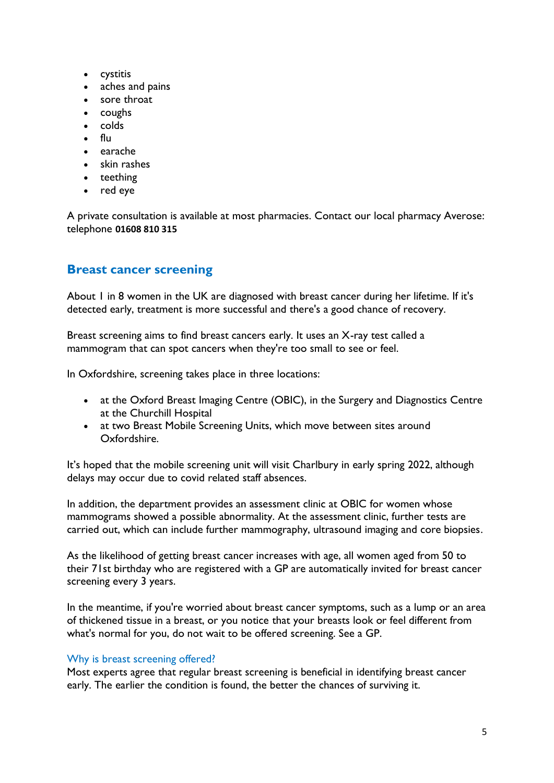- cystitis
- aches and pains
- sore throat
- coughs
- colds
- flu
- earache
- skin rashes
- teething
- red eye

A private consultation is available at most pharmacies. Contact our local pharmacy Averose: telephone **01608 810 315**

# **Breast cancer screening**

About 1 in 8 women in the UK are diagnosed with breast cancer during her lifetime. If it's detected early, treatment is more successful and there's a good chance of recovery.

Breast screening aims to find breast cancers early. It uses an X-ray test called a mammogram that can spot cancers when they're too small to see or feel.

In Oxfordshire, screening takes place in three locations:

- at the Oxford Breast Imaging Centre (OBIC), in the Surgery and Diagnostics Centre at the [Churchill Hospital](https://www.ouh.nhs.uk/hospitals/churchill/find-us/default.aspx)
- at two Breast Mobile Screening Units, which move between sites around Oxfordshire.

It's hoped that the mobile screening unit will visit Charlbury in early spring 2022, although delays may occur due to covid related staff absences.

In addition, the department provides an assessment clinic at OBIC for women whose mammograms showed a possible abnormality. At the assessment clinic, further tests are carried out, which can include further mammography, ultrasound imaging and core biopsies.

As the likelihood of getting breast cancer increases with age, all women aged from 50 to their 71st birthday who are registered with a GP are automatically invited for breast cancer screening every 3 years.

In the meantime, if you're worried about breast cancer symptoms, such as a lump or an area of thickened tissue in a breast, or you notice that your breasts look or feel different from what's normal for you, do not wait to be offered screening. See a GP.

## Why is breast screening offered?

Most experts agree that regular breast screening is beneficial in identifying breast cancer early. The earlier the condition is found, the better the chances of surviving it.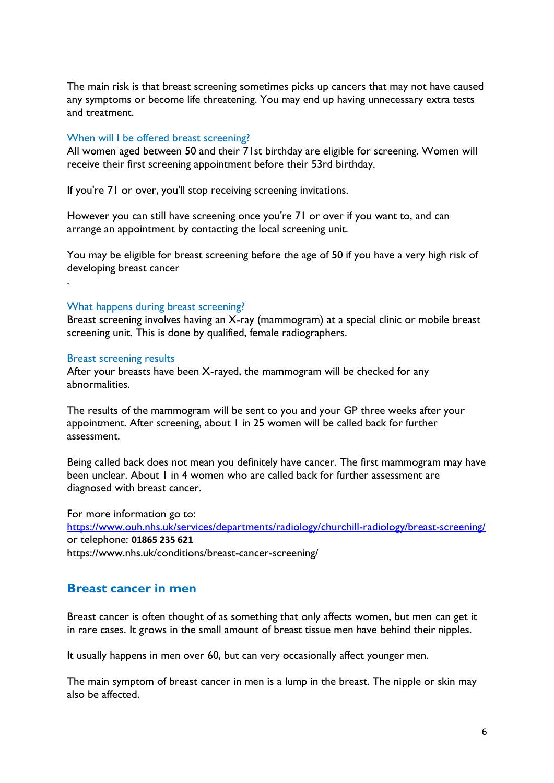The main risk is that breast screening sometimes picks up cancers that may not have caused any symptoms or become life threatening. You may end up having unnecessary extra tests and treatment.

#### When will I be offered breast screening?

All women aged between 50 and their 71st birthday are eligible for screening. Women will receive their first screening appointment before their 53rd birthday.

If you're 71 or over, you'll stop receiving screening invitations.

However you can still have screening once you're 71 or over if you want to, and can arrange an appointment by contacting the local screening unit.

You may be eligible for breast screening before the age of 50 if you have a very high risk of developing breast cancer

#### What happens during breast screening?

Breast screening involves having an X-ray (mammogram) at a special clinic or mobile breast screening unit. This is done by qualified, female radiographers.

#### Breast screening results

.

After your breasts have been X-rayed, the mammogram will be checked for any abnormalities.

The results of the mammogram will be sent to you and your GP three weeks after your appointment. After screening, about 1 in 25 women will be called back for further assessment.

Being called back does not mean you definitely have cancer. The first mammogram may have been unclear. About 1 in 4 women who are called back for further assessment are diagnosed with breast cancer.

For more information go to:

<https://www.ouh.nhs.uk/services/departments/radiology/churchill-radiology/breast-screening/> or telephone: **01865 235 621** https://www.nhs.uk/conditions/breast-cancer-screening/

### **Breast cancer in men**

Breast cancer is often thought of as something that only affects women, but men can get it in rare cases. It grows in the small amount of breast tissue men have behind their nipples.

It usually happens in men over 60, but can very occasionally affect younger men.

The main symptom of breast cancer in men is a lump in the breast. The nipple or skin may also be affected.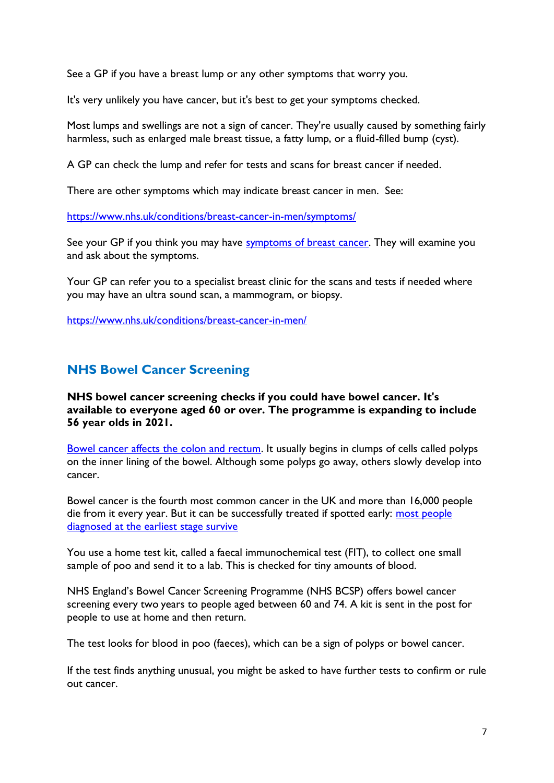See a GP if you have a breast lump or any other symptoms that worry you.

It's very unlikely you have cancer, but it's best to get your symptoms checked.

Most lumps and swellings are not a sign of cancer. They're usually caused by something fairly harmless, such as enlarged male breast tissue, a fatty lump, or a fluid-filled bump [\(cyst\).](https://www.nhs.uk/conditions/skin-cyst/)

A GP can check the lump and refer for tests and scans for breast cancer if needed.

There are other symptoms which may indicate breast cancer in men. See:

<https://www.nhs.uk/conditions/breast-cancer-in-men/symptoms/>

See your GP if you think you may have [symptoms of breast cancer.](https://www.nhs.uk/conditions/breast-cancer-in-men/symptoms/) They will examine you and ask about the symptoms.

Your GP can refer you to a specialist breast clinic for the scans and tests if needed where you may have an ultra sound scan, a mammogram, or biopsy.

<https://www.nhs.uk/conditions/breast-cancer-in-men/>

## **NHS Bowel Cancer Screening**

**NHS bowel cancer screening checks if you could have bowel cancer. It's available to everyone aged 60 or over. The programme is expanding to include 56 year olds in 2021.**

[Bowel cancer affects the colon and rectum.](https://www.nhs.uk/conditions/bowel-cancer/causes/) It usually begins in clumps of cells called polyps on the inner lining of the bowel. Although some polyps go away, others slowly develop into cancer.

Bowel cancer is the fourth most common cancer in the UK and more than 16,000 people die from it every year. But it can be successfully treated if spotted early: most people [diagnosed at the earliest stage survive](https://www.bowelcanceruk.org.uk/about-bowel-cancer/bowel-cancer/)

You use a home test kit, called a faecal immunochemical test (FIT), to collect one small sample of poo and send it to a lab. This is checked for tiny amounts of blood.

NHS England's Bowel Cancer Screening Programme (NHS BCSP) offers bowel cancer screening every two years to people aged between 60 and 74. A kit is sent in the post for people to use at home and then return.

The test looks for blood in poo (faeces), which can be a sign of polyps or bowel cancer.

If the test finds anything unusual, you might be asked to have further tests to confirm or rule out cancer.